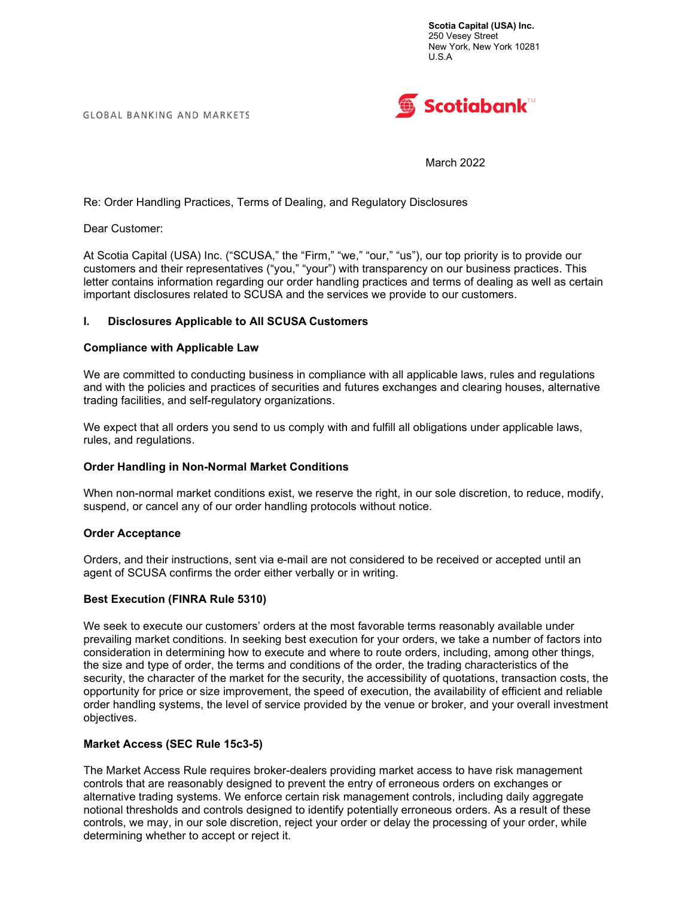**GLOBAL BANKING AND MARKETS** 



March 2022

Re: Order Handling Practices, Terms of Dealing, and Regulatory Disclosures

Dear Customer:

At Scotia Capital (USA) Inc. ("SCUSA," the "Firm," "we," "our," "us"), our top priority is to provide our customers and their representatives ("you," "your") with transparency on our business practices. This letter contains information regarding our order handling practices and terms of dealing as well as certain important disclosures related to SCUSA and the services we provide to our customers.

### I. Disclosures Applicable to All SCUSA Customers

### Compliance with Applicable Law

We are committed to conducting business in compliance with all applicable laws, rules and regulations and with the policies and practices of securities and futures exchanges and clearing houses, alternative trading facilities, and self-regulatory organizations.

We expect that all orders you send to us comply with and fulfill all obligations under applicable laws, rules, and regulations.

### Order Handling in Non-Normal Market Conditions

When non-normal market conditions exist, we reserve the right, in our sole discretion, to reduce, modify, suspend, or cancel any of our order handling protocols without notice.

#### Order Acceptance

Orders, and their instructions, sent via e-mail are not considered to be received or accepted until an agent of SCUSA confirms the order either verbally or in writing.

### Best Execution (FINRA Rule 5310)

We seek to execute our customers' orders at the most favorable terms reasonably available under prevailing market conditions. In seeking best execution for your orders, we take a number of factors into consideration in determining how to execute and where to route orders, including, among other things, the size and type of order, the terms and conditions of the order, the trading characteristics of the security, the character of the market for the security, the accessibility of quotations, transaction costs, the opportunity for price or size improvement, the speed of execution, the availability of efficient and reliable order handling systems, the level of service provided by the venue or broker, and your overall investment objectives.

### Market Access (SEC Rule 15c3-5)

The Market Access Rule requires broker-dealers providing market access to have risk management controls that are reasonably designed to prevent the entry of erroneous orders on exchanges or alternative trading systems. We enforce certain risk management controls, including daily aggregate notional thresholds and controls designed to identify potentially erroneous orders. As a result of these controls, we may, in our sole discretion, reject your order or delay the processing of your order, while determining whether to accept or reject it.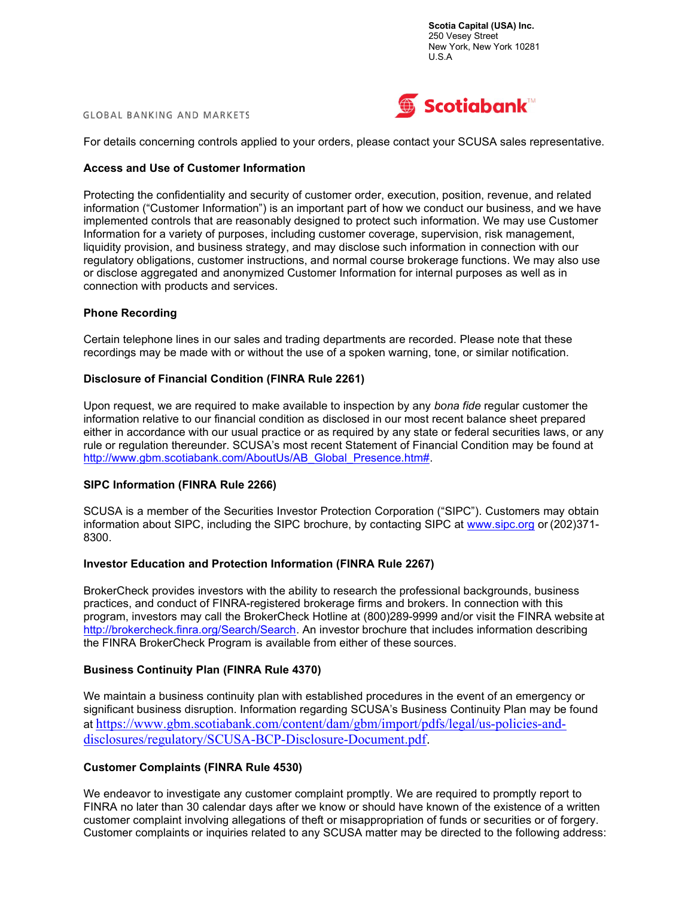#### **GLOBAL BANKING AND MARKETS**



For details concerning controls applied to your orders, please contact your SCUSA sales representative.

## Access and Use of Customer Information

Protecting the confidentiality and security of customer order, execution, position, revenue, and related information ("Customer Information") is an important part of how we conduct our business, and we have implemented controls that are reasonably designed to protect such information. We may use Customer Information for a variety of purposes, including customer coverage, supervision, risk management, liquidity provision, and business strategy, and may disclose such information in connection with our regulatory obligations, customer instructions, and normal course brokerage functions. We may also use or disclose aggregated and anonymized Customer Information for internal purposes as well as in connection with products and services.

#### Phone Recording

Certain telephone lines in our sales and trading departments are recorded. Please note that these recordings may be made with or without the use of a spoken warning, tone, or similar notification.

### Disclosure of Financial Condition (FINRA Rule 2261)

Upon request, we are required to make available to inspection by any bona fide regular customer the information relative to our financial condition as disclosed in our most recent balance sheet prepared either in accordance with our usual practice or as required by any state or federal securities laws, or any rule or regulation thereunder. SCUSA's most recent Statement of Financial Condition may be found at http://www.gbm.scotiabank.com/AboutUs/AB\_Global\_Presence.htm#.

### SIPC Information (FINRA Rule 2266)

SCUSA is a member of the Securities Investor Protection Corporation ("SIPC"). Customers may obtain information about SIPC, including the SIPC brochure, by contacting SIPC at www.sipc.org or (202)371-8300.

### Investor Education and Protection Information (FINRA Rule 2267)

BrokerCheck provides investors with the ability to research the professional backgrounds, business practices, and conduct of FINRA-registered brokerage firms and brokers. In connection with this program, investors may call the BrokerCheck Hotline at (800)289-9999 and/or visit the FINRA website at http://brokercheck.finra.org/Search/Search. An investor brochure that includes information describing the FINRA BrokerCheck Program is available from either of these sources.

### Business Continuity Plan (FINRA Rule 4370)

We maintain a business continuity plan with established procedures in the event of an emergency or significant business disruption. Information regarding SCUSA's Business Continuity Plan may be found at https://www.gbm.scotiabank.com/content/dam/gbm/import/pdfs/legal/us-policies-anddisclosures/regulatory/SCUSA-BCP-Disclosure-Document.pdf.

# Customer Complaints (FINRA Rule 4530)

We endeavor to investigate any customer complaint promptly. We are required to promptly report to FINRA no later than 30 calendar days after we know or should have known of the existence of a written customer complaint involving allegations of theft or misappropriation of funds or securities or of forgery. Customer complaints or inquiries related to any SCUSA matter may be directed to the following address: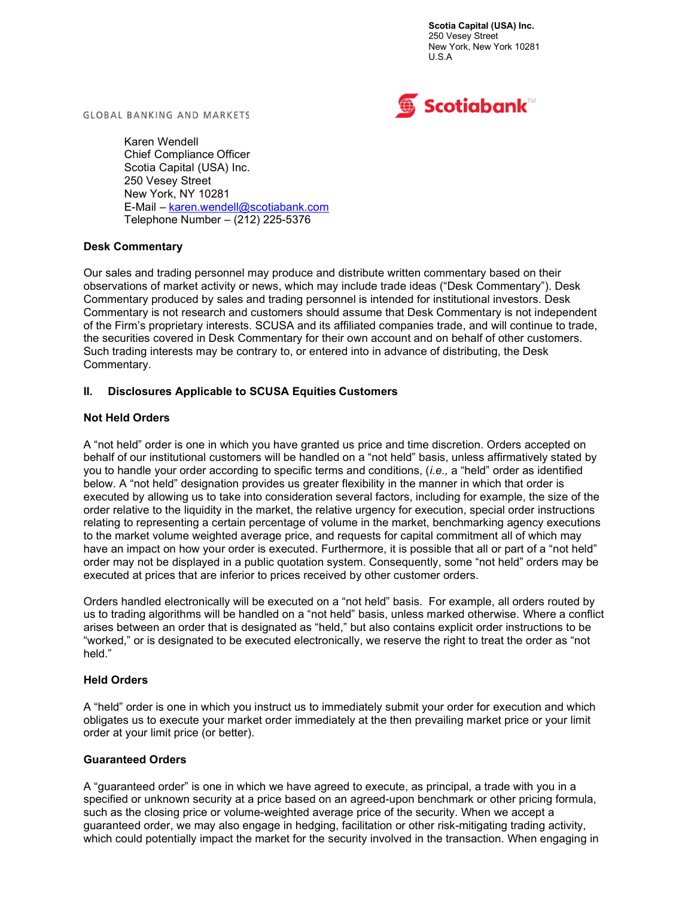

**GLOBAL BANKING AND MARKETS** 

Karen Wendell Chief Compliance Officer Scotia Capital (USA) Inc. 250 Vesey Street New York, NY 10281 E-Mail – karen.wendell@scotiabank.com Telephone Number – (212) 225-5376

# Desk Commentary

Our sales and trading personnel may produce and distribute written commentary based on their observations of market activity or news, which may include trade ideas ("Desk Commentary"). Desk Commentary produced by sales and trading personnel is intended for institutional investors. Desk Commentary is not research and customers should assume that Desk Commentary is not independent of the Firm's proprietary interests. SCUSA and its affiliated companies trade, and will continue to trade, the securities covered in Desk Commentary for their own account and on behalf of other customers. Such trading interests may be contrary to, or entered into in advance of distributing, the Desk Commentary.

# II. Disclosures Applicable to SCUSA Equities Customers

# Not Held Orders

A "not held" order is one in which you have granted us price and time discretion. Orders accepted on behalf of our institutional customers will be handled on a "not held" basis, unless affirmatively stated by you to handle your order according to specific terms and conditions, (i.e., a "held" order as identified below. A "not held" designation provides us greater flexibility in the manner in which that order is executed by allowing us to take into consideration several factors, including for example, the size of the order relative to the liquidity in the market, the relative urgency for execution, special order instructions relating to representing a certain percentage of volume in the market, benchmarking agency executions to the market volume weighted average price, and requests for capital commitment all of which may have an impact on how your order is executed. Furthermore, it is possible that all or part of a "not held" order may not be displayed in a public quotation system. Consequently, some "not held" orders may be executed at prices that are inferior to prices received by other customer orders.

Orders handled electronically will be executed on a "not held" basis. For example, all orders routed by us to trading algorithms will be handled on a "not held" basis, unless marked otherwise. Where a conflict arises between an order that is designated as "held," but also contains explicit order instructions to be "worked," or is designated to be executed electronically, we reserve the right to treat the order as "not held."

## Held Orders

A "held" order is one in which you instruct us to immediately submit your order for execution and which obligates us to execute your market order immediately at the then prevailing market price or your limit order at your limit price (or better).

## Guaranteed Orders

A "guaranteed order" is one in which we have agreed to execute, as principal, a trade with you in a specified or unknown security at a price based on an agreed-upon benchmark or other pricing formula, such as the closing price or volume-weighted average price of the security. When we accept a guaranteed order, we may also engage in hedging, facilitation or other risk-mitigating trading activity, which could potentially impact the market for the security involved in the transaction. When engaging in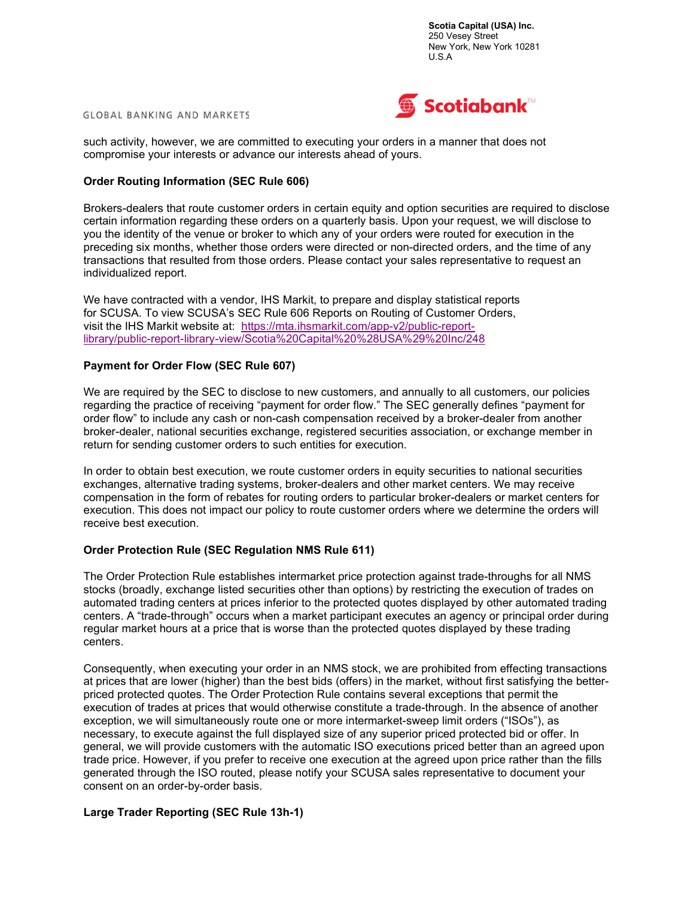



such activity, however, we are committed to executing your orders in a manner that does not compromise your interests or advance our interests ahead of yours.

### Order Routing Information (SEC Rule 606)

Brokers-dealers that route customer orders in certain equity and option securities are required to disclose certain information regarding these orders on a quarterly basis. Upon your request, we will disclose to you the identity of the venue or broker to which any of your orders were routed for execution in the preceding six months, whether those orders were directed or non-directed orders, and the time of any transactions that resulted from those orders. Please contact your sales representative to request an individualized report.

We have contracted with a vendor, IHS Markit, to prepare and display statistical reports for SCUSA. To view SCUSA's SEC Rule 606 Reports on Routing of Customer Orders, visit the IHS Markit website at: https://mta.ihsmarkit.com/app-v2/public-reportlibrary/public-report-library-view/Scotia%20Capital%20%28USA%29%20Inc/248

### Payment for Order Flow (SEC Rule 607)

We are required by the SEC to disclose to new customers, and annually to all customers, our policies regarding the practice of receiving "payment for order flow." The SEC generally defines "payment for order flow" to include any cash or non-cash compensation received by a broker-dealer from another broker-dealer, national securities exchange, registered securities association, or exchange member in return for sending customer orders to such entities for execution.

In order to obtain best execution, we route customer orders in equity securities to national securities exchanges, alternative trading systems, broker-dealers and other market centers. We may receive compensation in the form of rebates for routing orders to particular broker-dealers or market centers for execution. This does not impact our policy to route customer orders where we determine the orders will receive best execution.

### Order Protection Rule (SEC Regulation NMS Rule 611)

The Order Protection Rule establishes intermarket price protection against trade-throughs for all NMS stocks (broadly, exchange listed securities other than options) by restricting the execution of trades on automated trading centers at prices inferior to the protected quotes displayed by other automated trading centers. A "trade-through" occurs when a market participant executes an agency or principal order during regular market hours at a price that is worse than the protected quotes displayed by these trading centers.

Consequently, when executing your order in an NMS stock, we are prohibited from effecting transactions at prices that are lower (higher) than the best bids (offers) in the market, without first satisfying the betterpriced protected quotes. The Order Protection Rule contains several exceptions that permit the execution of trades at prices that would otherwise constitute a trade-through. In the absence of another exception, we will simultaneously route one or more intermarket-sweep limit orders ("ISOs"), as necessary, to execute against the full displayed size of any superior priced protected bid or offer. In general, we will provide customers with the automatic ISO executions priced better than an agreed upon trade price. However, if you prefer to receive one execution at the agreed upon price rather than the fills generated through the ISO routed, please notify your SCUSA sales representative to document your consent on an order-by-order basis.

### Large Trader Reporting (SEC Rule 13h-1)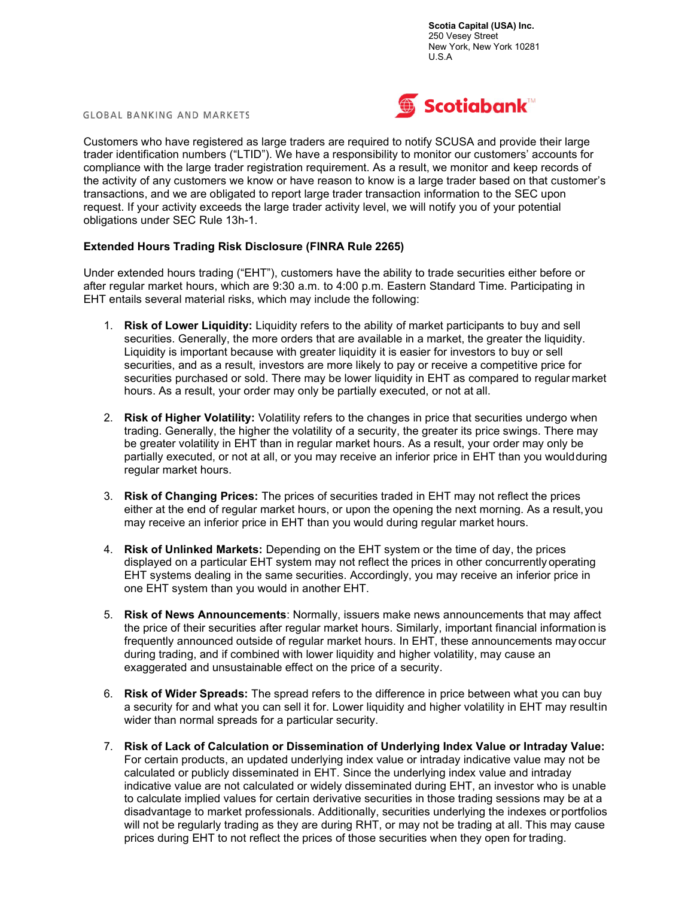**GLOBAL BANKING AND MARKETS** 



Customers who have registered as large traders are required to notify SCUSA and provide their large trader identification numbers ("LTID"). We have a responsibility to monitor our customers' accounts for compliance with the large trader registration requirement. As a result, we monitor and keep records of the activity of any customers we know or have reason to know is a large trader based on that customer's transactions, and we are obligated to report large trader transaction information to the SEC upon request. If your activity exceeds the large trader activity level, we will notify you of your potential obligations under SEC Rule 13h-1.

# Extended Hours Trading Risk Disclosure (FINRA Rule 2265)

Under extended hours trading ("EHT"), customers have the ability to trade securities either before or after regular market hours, which are 9:30 a.m. to 4:00 p.m. Eastern Standard Time. Participating in EHT entails several material risks, which may include the following:

- 1. Risk of Lower Liquidity: Liquidity refers to the ability of market participants to buy and sell securities. Generally, the more orders that are available in a market, the greater the liquidity. Liquidity is important because with greater liquidity it is easier for investors to buy or sell securities, and as a result, investors are more likely to pay or receive a competitive price for securities purchased or sold. There may be lower liquidity in EHT as compared to regular market hours. As a result, your order may only be partially executed, or not at all.
- 2. Risk of Higher Volatility: Volatility refers to the changes in price that securities undergo when trading. Generally, the higher the volatility of a security, the greater its price swings. There may be greater volatility in EHT than in regular market hours. As a result, your order may only be partially executed, or not at all, or you may receive an inferior price in EHT than you would during regular market hours.
- 3. Risk of Changing Prices: The prices of securities traded in EHT may not reflect the prices either at the end of regular market hours, or upon the opening the next morning. As a result, you may receive an inferior price in EHT than you would during regular market hours.
- 4. Risk of Unlinked Markets: Depending on the EHT system or the time of day, the prices displayed on a particular EHT system may not reflect the prices in other concurrently operating EHT systems dealing in the same securities. Accordingly, you may receive an inferior price in one EHT system than you would in another EHT.
- 5. Risk of News Announcements: Normally, issuers make news announcements that may affect the price of their securities after regular market hours. Similarly, important financial information is frequently announced outside of regular market hours. In EHT, these announcements may occur during trading, and if combined with lower liquidity and higher volatility, may cause an exaggerated and unsustainable effect on the price of a security.
- 6. Risk of Wider Spreads: The spread refers to the difference in price between what you can buy a security for and what you can sell it for. Lower liquidity and higher volatility in EHT may resultin wider than normal spreads for a particular security.
- 7. Risk of Lack of Calculation or Dissemination of Underlying Index Value or Intraday Value: For certain products, an updated underlying index value or intraday indicative value may not be calculated or publicly disseminated in EHT. Since the underlying index value and intraday indicative value are not calculated or widely disseminated during EHT, an investor who is unable to calculate implied values for certain derivative securities in those trading sessions may be at a disadvantage to market professionals. Additionally, securities underlying the indexes or portfolios will not be regularly trading as they are during RHT, or may not be trading at all. This may cause prices during EHT to not reflect the prices of those securities when they open for trading.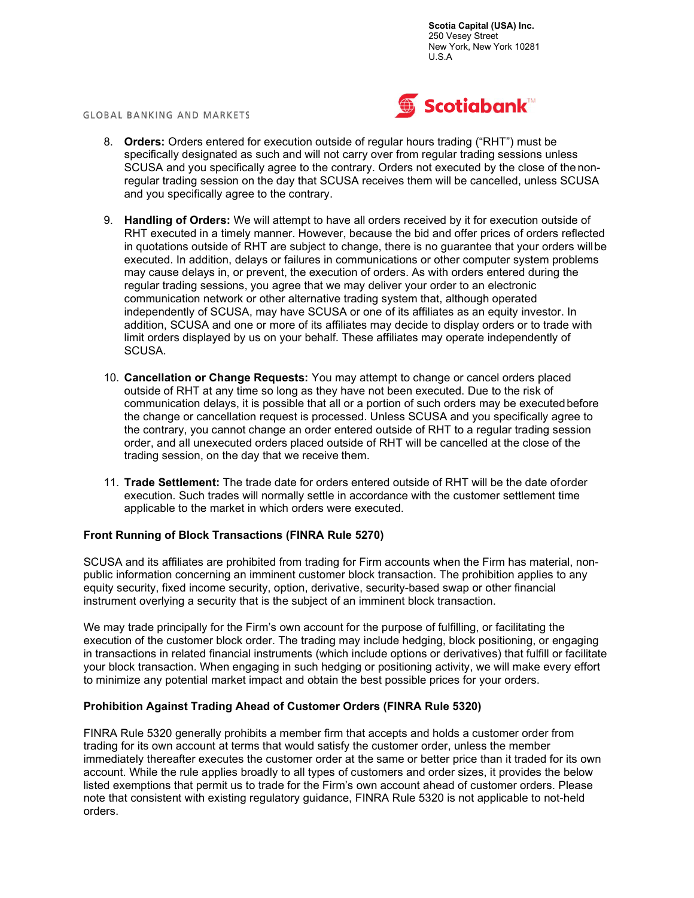



- 8. Orders: Orders entered for execution outside of regular hours trading ("RHT") must be specifically designated as such and will not carry over from regular trading sessions unless SCUSA and you specifically agree to the contrary. Orders not executed by the close of the nonregular trading session on the day that SCUSA receives them will be cancelled, unless SCUSA and you specifically agree to the contrary.
- 9. Handling of Orders: We will attempt to have all orders received by it for execution outside of RHT executed in a timely manner. However, because the bid and offer prices of orders reflected in quotations outside of RHT are subject to change, there is no guarantee that your orders will be executed. In addition, delays or failures in communications or other computer system problems may cause delays in, or prevent, the execution of orders. As with orders entered during the regular trading sessions, you agree that we may deliver your order to an electronic communication network or other alternative trading system that, although operated independently of SCUSA, may have SCUSA or one of its affiliates as an equity investor. In addition, SCUSA and one or more of its affiliates may decide to display orders or to trade with limit orders displayed by us on your behalf. These affiliates may operate independently of SCUSA.
- 10. Cancellation or Change Requests: You may attempt to change or cancel orders placed outside of RHT at any time so long as they have not been executed. Due to the risk of communication delays, it is possible that all or a portion of such orders may be executed before the change or cancellation request is processed. Unless SCUSA and you specifically agree to the contrary, you cannot change an order entered outside of RHT to a regular trading session order, and all unexecuted orders placed outside of RHT will be cancelled at the close of the trading session, on the day that we receive them.
- 11. Trade Settlement: The trade date for orders entered outside of RHT will be the date of order execution. Such trades will normally settle in accordance with the customer settlement time applicable to the market in which orders were executed.

## Front Running of Block Transactions (FINRA Rule 5270)

SCUSA and its affiliates are prohibited from trading for Firm accounts when the Firm has material, nonpublic information concerning an imminent customer block transaction. The prohibition applies to any equity security, fixed income security, option, derivative, security-based swap or other financial instrument overlying a security that is the subject of an imminent block transaction.

We may trade principally for the Firm's own account for the purpose of fulfilling, or facilitating the execution of the customer block order. The trading may include hedging, block positioning, or engaging in transactions in related financial instruments (which include options or derivatives) that fulfill or facilitate your block transaction. When engaging in such hedging or positioning activity, we will make every effort to minimize any potential market impact and obtain the best possible prices for your orders.

## Prohibition Against Trading Ahead of Customer Orders (FINRA Rule 5320)

FINRA Rule 5320 generally prohibits a member firm that accepts and holds a customer order from trading for its own account at terms that would satisfy the customer order, unless the member immediately thereafter executes the customer order at the same or better price than it traded for its own account. While the rule applies broadly to all types of customers and order sizes, it provides the below listed exemptions that permit us to trade for the Firm's own account ahead of customer orders. Please note that consistent with existing regulatory guidance, FINRA Rule 5320 is not applicable to not-held orders.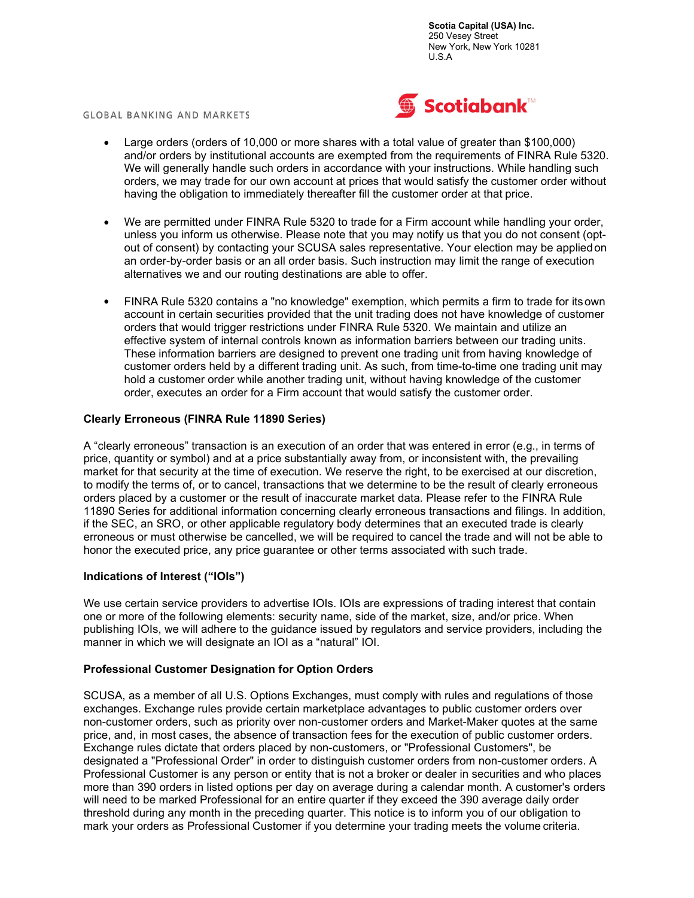#### **GLOBAL BANKING AND MARKETS**



- Large orders (orders of 10,000 or more shares with a total value of greater than \$100,000) and/or orders by institutional accounts are exempted from the requirements of FINRA Rule 5320. We will generally handle such orders in accordance with your instructions. While handling such orders, we may trade for our own account at prices that would satisfy the customer order without having the obligation to immediately thereafter fill the customer order at that price.
- We are permitted under FINRA Rule 5320 to trade for a Firm account while handling your order, unless you inform us otherwise. Please note that you may notify us that you do not consent (optout of consent) by contacting your SCUSA sales representative. Your election may be applied on an order-by-order basis or an all order basis. Such instruction may limit the range of execution alternatives we and our routing destinations are able to offer.
- FINRA Rule 5320 contains a "no knowledge" exemption, which permits a firm to trade for its own account in certain securities provided that the unit trading does not have knowledge of customer orders that would trigger restrictions under FINRA Rule 5320. We maintain and utilize an effective system of internal controls known as information barriers between our trading units. These information barriers are designed to prevent one trading unit from having knowledge of customer orders held by a different trading unit. As such, from time-to-time one trading unit may hold a customer order while another trading unit, without having knowledge of the customer order, executes an order for a Firm account that would satisfy the customer order.

### Clearly Erroneous (FINRA Rule 11890 Series)

A "clearly erroneous" transaction is an execution of an order that was entered in error (e.g., in terms of price, quantity or symbol) and at a price substantially away from, or inconsistent with, the prevailing market for that security at the time of execution. We reserve the right, to be exercised at our discretion, to modify the terms of, or to cancel, transactions that we determine to be the result of clearly erroneous orders placed by a customer or the result of inaccurate market data. Please refer to the FINRA Rule 11890 Series for additional information concerning clearly erroneous transactions and filings. In addition, if the SEC, an SRO, or other applicable regulatory body determines that an executed trade is clearly erroneous or must otherwise be cancelled, we will be required to cancel the trade and will not be able to honor the executed price, any price guarantee or other terms associated with such trade.

## Indications of Interest ("IOIs")

We use certain service providers to advertise IOIs. IOIs are expressions of trading interest that contain one or more of the following elements: security name, side of the market, size, and/or price. When publishing IOIs, we will adhere to the guidance issued by regulators and service providers, including the manner in which we will designate an IOI as a "natural" IOI.

### Professional Customer Designation for Option Orders

SCUSA, as a member of all U.S. Options Exchanges, must comply with rules and regulations of those exchanges. Exchange rules provide certain marketplace advantages to public customer orders over non-customer orders, such as priority over non-customer orders and Market-Maker quotes at the same price, and, in most cases, the absence of transaction fees for the execution of public customer orders. Exchange rules dictate that orders placed by non-customers, or "Professional Customers", be designated a "Professional Order" in order to distinguish customer orders from non-customer orders. A Professional Customer is any person or entity that is not a broker or dealer in securities and who places more than 390 orders in listed options per day on average during a calendar month. A customer's orders will need to be marked Professional for an entire quarter if they exceed the 390 average daily order threshold during any month in the preceding quarter. This notice is to inform you of our obligation to mark your orders as Professional Customer if you determine your trading meets the volume criteria.